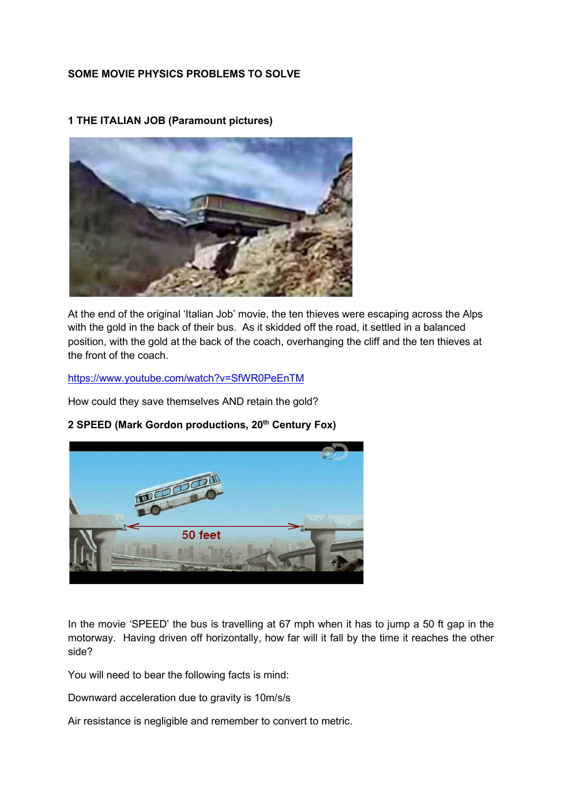### **SOME MOVIE PHYSICS PROBLEMS TO SOLVE**



**1 THE ITALIAN JOB (Paramount pictures)**

At the end of the original 'Italian Job' movie, the ten thieves were escaping across the Alps with the gold in the back of their bus. As it skidded off the road, it settled in a balanced position, with the gold at the back of the coach, overhanging the cliff and the ten thieves at the front of the coach.

<https://www.youtube.com/watch?v=SfWR0PeEnTM>

How could they save themselves AND retain the gold?



#### **2 SPEED (Mark Gordon productions, 20th Century Fox)**

In the movie 'SPEED' the bus is travelling at 67 mph when it has to jump a 50 ft gap in the motorway. Having driven off horizontally, how far will it fall by the time it reaches the other side?

You will need to bear the following facts is mind:

Downward acceleration due to gravity is 10m/s/s

Air resistance is negligible and remember to convert to metric.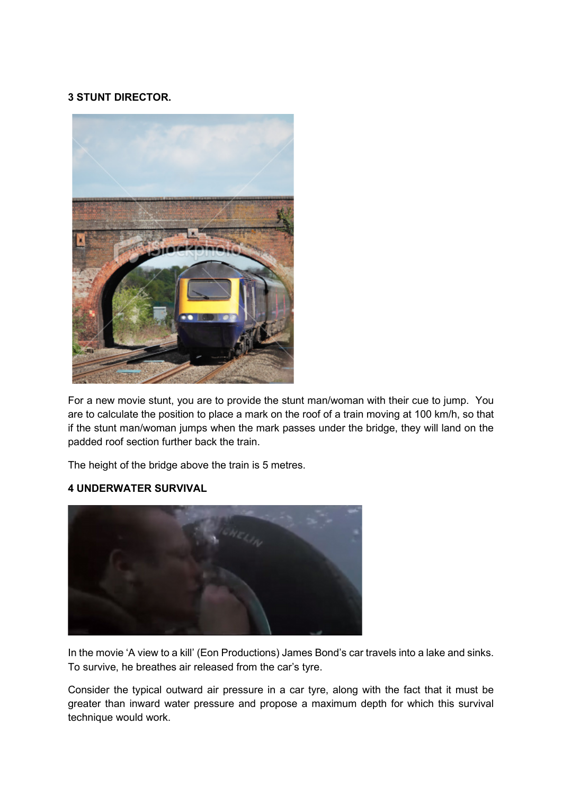## **3 STUNT DIRECTOR.**



For a new movie stunt, you are to provide the stunt man/woman with their cue to jump. You are to calculate the position to place a mark on the roof of a train moving at 100 km/h, so that if the stunt man/woman jumps when the mark passes under the bridge, they will land on the padded roof section further back the train.

The height of the bridge above the train is 5 metres.

#### **4 UNDERWATER SURVIVAL**



In the movie 'A view to a kill' (Eon Productions) James Bond's car travels into a lake and sinks. To survive, he breathes air released from the car's tyre.

Consider the typical outward air pressure in a car tyre, along with the fact that it must be greater than inward water pressure and propose a maximum depth for which this survival technique would work.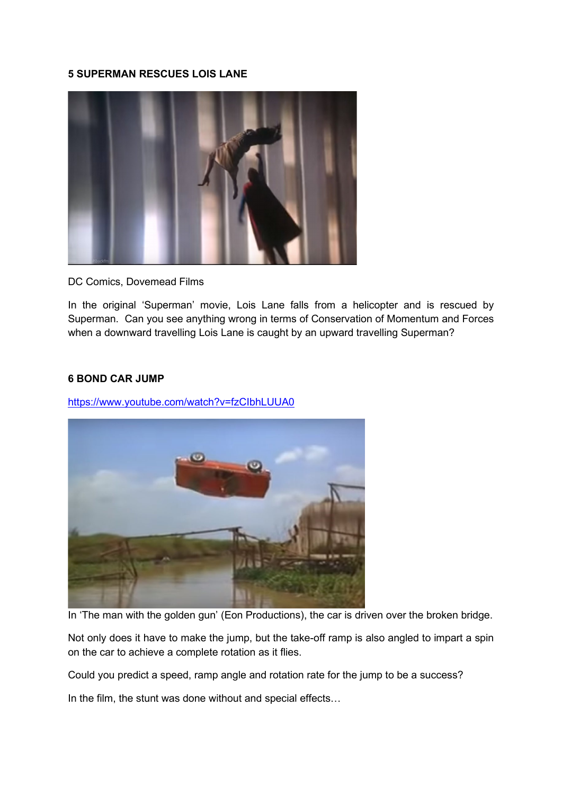#### **5 SUPERMAN RESCUES LOIS LANE**



DC Comics, Dovemead Films

In the original 'Superman' movie, Lois Lane falls from a helicopter and is rescued by Superman. Can you see anything wrong in terms of Conservation of Momentum and Forces when a downward travelling Lois Lane is caught by an upward travelling Superman?

#### **6 BOND CAR JUMP**

<https://www.youtube.com/watch?v=fzCIbhLUUA0>



In 'The man with the golden gun' (Eon Productions), the car is driven over the broken bridge.

Not only does it have to make the jump, but the take-off ramp is also angled to impart a spin on the car to achieve a complete rotation as it flies.

Could you predict a speed, ramp angle and rotation rate for the jump to be a success?

In the film, the stunt was done without and special effects…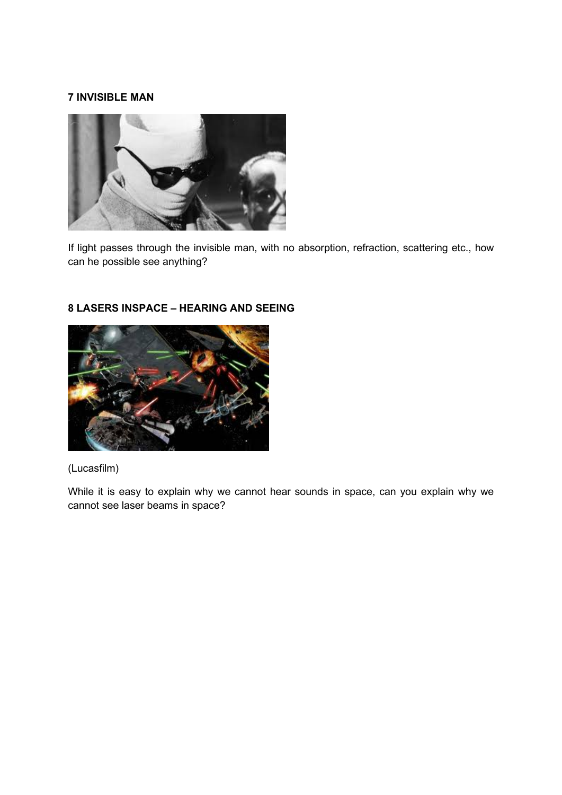#### **7 INVISIBLE MAN**



If light passes through the invisible man, with no absorption, refraction, scattering etc., how can he possible see anything?



# **8 LASERS INSPACE – HEARING AND SEEING**

## (Lucasfilm)

While it is easy to explain why we cannot hear sounds in space, can you explain why we cannot see laser beams in space?